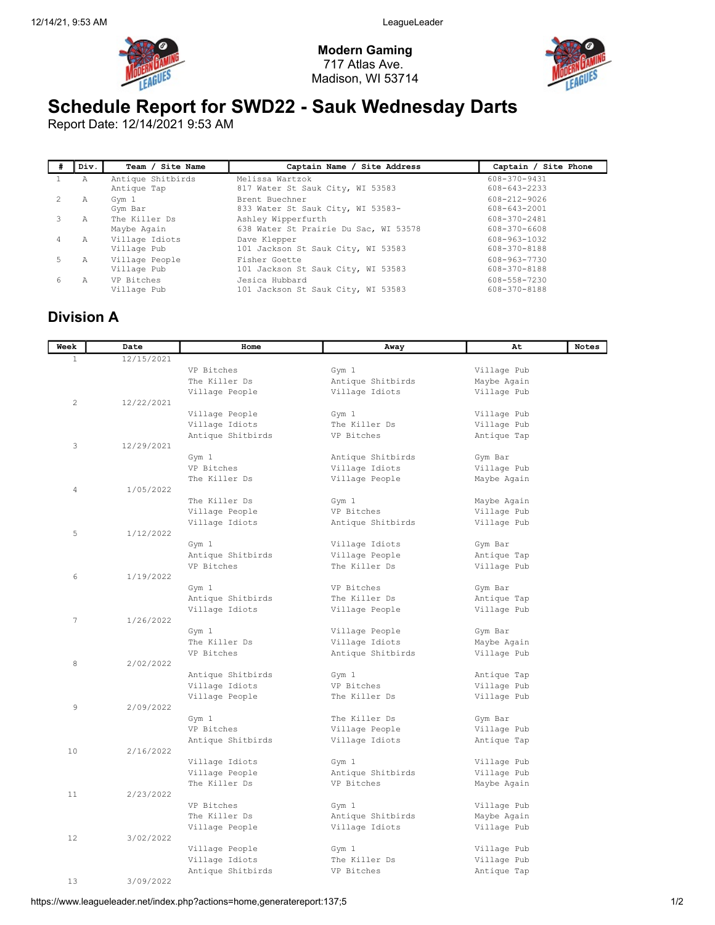



## Schedule Report for SWD22 - Sauk Wednesday Darts

Report Date: 12/14/2021 9:53 AM

|    | Div. | Team / Site Name                 | Captain Name / Site Address                                 | Captain / Site Phone         |
|----|------|----------------------------------|-------------------------------------------------------------|------------------------------|
|    | Α    | Antique Shitbirds<br>Antique Tap | Melissa Wartzok<br>817 Water St Sauk City, WI 53583         | 608-370-9431<br>608-643-2233 |
|    | A    | Gym 1<br>Gym Bar                 | Brent Buechner<br>833 Water St Sauk City, WI 53583-         | 608-212-9026<br>608-643-2001 |
|    | А    | The Killer Ds<br>Maybe Again     | Ashley Wipperfurth<br>638 Water St Prairie Du Sac, WI 53578 | 608-370-2481<br>608-370-6608 |
| 4  | А    | Village Idiots<br>Village Pub    | Dave Klepper<br>101 Jackson St Sauk City, WI 53583          | 608-963-1032<br>608-370-8188 |
| 5. | Α    | Village People<br>Village Pub    | Fisher Goette<br>101 Jackson St Sauk City, WI 53583         | 608-963-7730<br>608-370-8188 |
| 6  | A    | VP Bitches<br>Village Pub        | Jesica Hubbard<br>101 Jackson St Sauk City, WI 53583        | 608-558-7230<br>608-370-8188 |

## Division A

| Week           | Date       | Home                   | Away              | At                     | <b>Notes</b> |
|----------------|------------|------------------------|-------------------|------------------------|--------------|
| $\mathbf{1}$   | 12/15/2021 |                        |                   |                        |              |
|                |            | VP Bitches             | Gym 1             | Village Pub            |              |
|                |            | The Killer Ds          | Antique Shitbirds | Maybe Again            |              |
|                |            | Village People         | Village Idiots    | Village Pub            |              |
| $\overline{c}$ | 12/22/2021 |                        |                   |                        |              |
|                |            | Village People         | Gym 1             | Village Pub            |              |
|                |            | Village Idiots         | The Killer Ds     | Village Pub            |              |
|                |            | Antique Shitbirds      | VP Bitches        | Antique Tap            |              |
| 3              | 12/29/2021 |                        |                   |                        |              |
|                |            | Gym 1                  | Antique Shitbirds | Gym Bar                |              |
|                |            | VP Bitches             | Village Idiots    | Village Pub            |              |
|                |            | The Killer Ds          | Village People    | Maybe Again            |              |
| $\overline{4}$ | 1/05/2022  |                        |                   |                        |              |
|                |            | The Killer Ds          | Gym 1             | Maybe Again            |              |
|                |            | Village People         | VP Bitches        | Village Pub            |              |
|                |            | Village Idiots         | Antique Shitbirds | Village Pub            |              |
| 5              | 1/12/2022  |                        |                   |                        |              |
|                |            | Gym 1                  | Village Idiots    | Gym Bar                |              |
|                |            | Antique Shitbirds      | Village People    | Antique Tap            |              |
|                |            | VP Bitches             | The Killer Ds     | Village Pub            |              |
| 6              | 1/19/2022  |                        |                   |                        |              |
|                |            | Gym 1                  | VP Bitches        | Gym Bar                |              |
|                |            | Antique Shitbirds      | The Killer Ds     | Antique Tap            |              |
| $\overline{7}$ | 1/26/2022  | Village Idiots         | Village People    | Village Pub            |              |
|                |            |                        | Village People    |                        |              |
|                |            | Gym 1<br>The Killer Ds | Village Idiots    | Gym Bar<br>Maybe Again |              |
|                |            | VP Bitches             | Antique Shitbirds | Village Pub            |              |
| 8              | 2/02/2022  |                        |                   |                        |              |
|                |            | Antique Shitbirds      | Gym 1             | Antique Tap            |              |
|                |            | Village Idiots         | VP Bitches        | Village Pub            |              |
|                |            | Village People         | The Killer Ds     | Village Pub            |              |
| 9              | 2/09/2022  |                        |                   |                        |              |
|                |            | Gym 1                  | The Killer Ds     | Gym Bar                |              |
|                |            | VP Bitches             | Village People    | Village Pub            |              |
|                |            | Antique Shitbirds      | Village Idiots    | Antique Tap            |              |
| 10             | 2/16/2022  |                        |                   |                        |              |
|                |            | Village Idiots         | Gym 1             | Village Pub            |              |
|                |            | Village People         | Antique Shitbirds | Village Pub            |              |
|                |            | The Killer Ds          | VP Bitches        | Maybe Again            |              |
| 11             | 2/23/2022  |                        |                   |                        |              |
|                |            | VP Bitches             | Gym 1             | Village Pub            |              |
|                |            | The Killer Ds          | Antique Shitbirds | Maybe Again            |              |
|                |            | Village People         | Village Idiots    | Village Pub            |              |
| 12             | 3/02/2022  |                        |                   |                        |              |
|                |            | Village People         | Gym 1             | Village Pub            |              |
|                |            | Village Idiots         | The Killer Ds     | Village Pub            |              |
|                |            | Antique Shitbirds      | VP Bitches        | Antique Tap            |              |
| 13             | 3/09/2022  |                        |                   |                        |              |